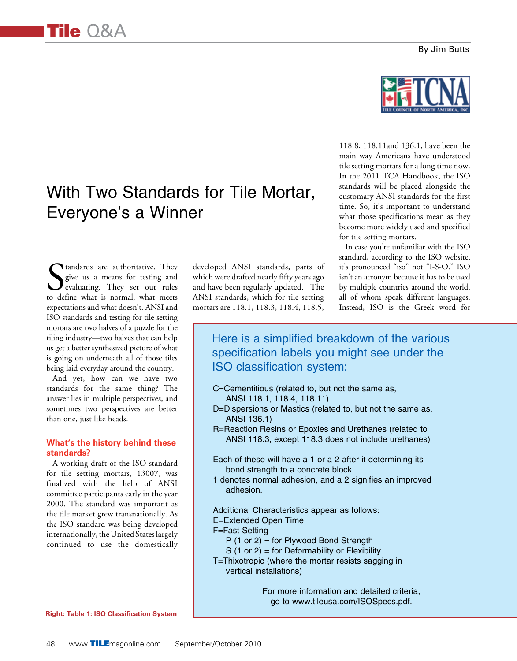#### By Jim Butts

# With Two Standards for Tile Mortar, Everyone's a Winner

Standards are authoritative. They<br>give us a means for testing and<br>evaluating. They set out rules<br>to define what is normal, what meets tandards are authoritative. They give us a means for testing and evaluating. They set out rules expectations and what doesn't. ANSI and ISO standards and testing for tile setting mortars are two halves of a puzzle for the tiling industry—two halves that can help us get a better synthesized picture of what is going on underneath all of those tiles being laid everyday around the country.

And yet, how can we have two standards for the same thing? The answer lies in multiple perspectives, and sometimes two perspectives are better than one, just like heads.

### **What's the history behind these standards?**

A working draft of the ISO standard for tile setting mortars, 13007, was finalized with the help of ANSI committee participants early in the year 2000. The standard was important as the tile market grew transnationally. As the ISO standard was being developed internationally, the United States largely continued to use the domestically developed ANSI standards, parts of which were drafted nearly fifty years ago and have been regularly updated. The ANSI standards, which for tile setting mortars are 118.1, 118.3, 118.4, 118.5,



118.8, 118.11and 136.1, have been the main way Americans have understood tile setting mortars for a long time now. In the 2011 TCA Handbook, the ISO standards will be placed alongside the customary ANSI standards for the first time. So, it's important to understand what those specifications mean as they become more widely used and specified for tile setting mortars.

In case you're unfamiliar with the ISO standard, according to the ISO website, it's pronounced "iso" not "I-S-O." ISO isn't an acronym because it has to be used by multiple countries around the world, all of whom speak different languages. Instead, ISO is the Greek word for

## Here is a simplified breakdown of the various specification labels you might see under the ISO classification system:

- C=Cementitious (related to, but not the same as, ANSI 118.1, 118.4, 118.11)
- D=Dispersions or Mastics (related to, but not the same as, ANSI 136.1)
- R=Reaction Resins or Epoxies and Urethanes (related to ANSI 118.3, except 118.3 does not include urethanes)
- Each of these will have a 1 or a 2 after it determining its bond strength to a concrete block.
- 1 denotes normal adhesion, and a 2 signifies an improved adhesion.

Additional Characteristics appear as follows:

- E=Extended Open Time
- F=Fast Setting
	- P (1 or 2) = for Plywood Bond Strength
	- $S(1 \text{ or } 2) =$  for Deformability or Flexibility
- T=Thixotropic (where the mortar resists sagging in vertical installations)

For more information and detailed criteria, go to www.tileusa.com/ISOSpecs.pdf.

**Right: Table 1: ISO Classification System**